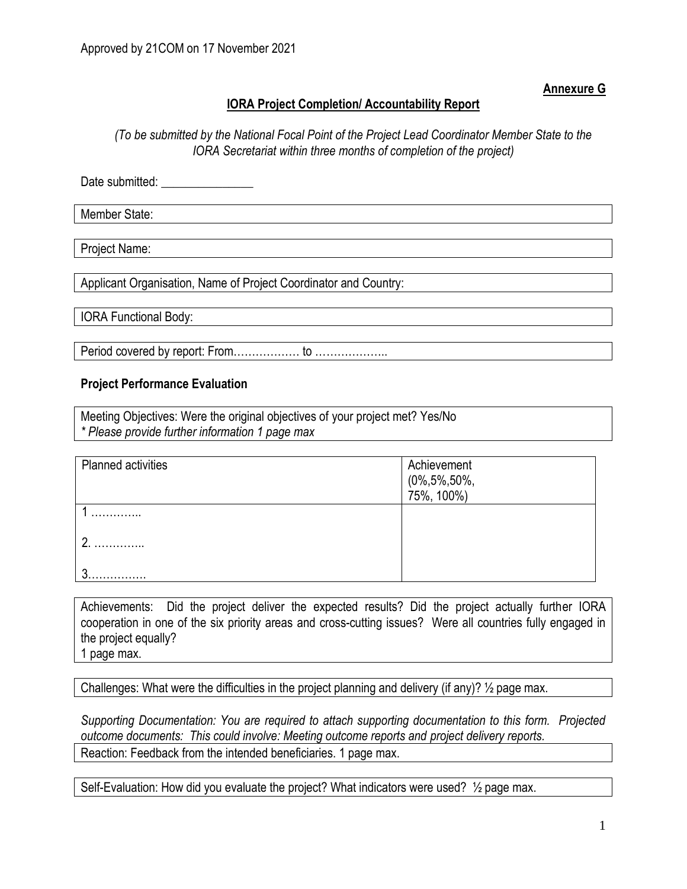**Annexure G**

### **IORA Project Completion/ Accountability Report**

*(To be submitted by the National Focal Point of the Project Lead Coordinator Member State to the IORA Secretariat within three months of completion of the project)*

Date submitted: \_\_\_\_\_\_\_\_\_\_\_\_\_\_\_\_\_\_

Member State:

Project Name:

Applicant Organisation, Name of Project Coordinator and Country:

IORA Functional Body:

Period covered by report: From……………… to ………………..

#### **Project Performance Evaluation**

Meeting Objectives: Were the original objectives of your project met? Yes/No *\* Please provide further information 1 page max*

| <b>Planned activities</b> | Achievement<br>$(0\%, 5\%, 50\%,$ 75%, 100%) |
|---------------------------|----------------------------------------------|
| .                         |                                              |
|                           |                                              |
| 0.                        |                                              |

Achievements: Did the project deliver the expected results? Did the project actually further IORA cooperation in one of the six priority areas and cross-cutting issues? Were all countries fully engaged in the project equally?

1 page max.

Challenges: What were the difficulties in the project planning and delivery (if any)? ½ page max.

*Supporting Documentation: You are required to attach supporting documentation to this form. Projected outcome documents: This could involve: Meeting outcome reports and project delivery reports.* Reaction: Feedback from the intended beneficiaries. 1 page max.

Self-Evaluation: How did you evaluate the project? What indicators were used? ½ page max.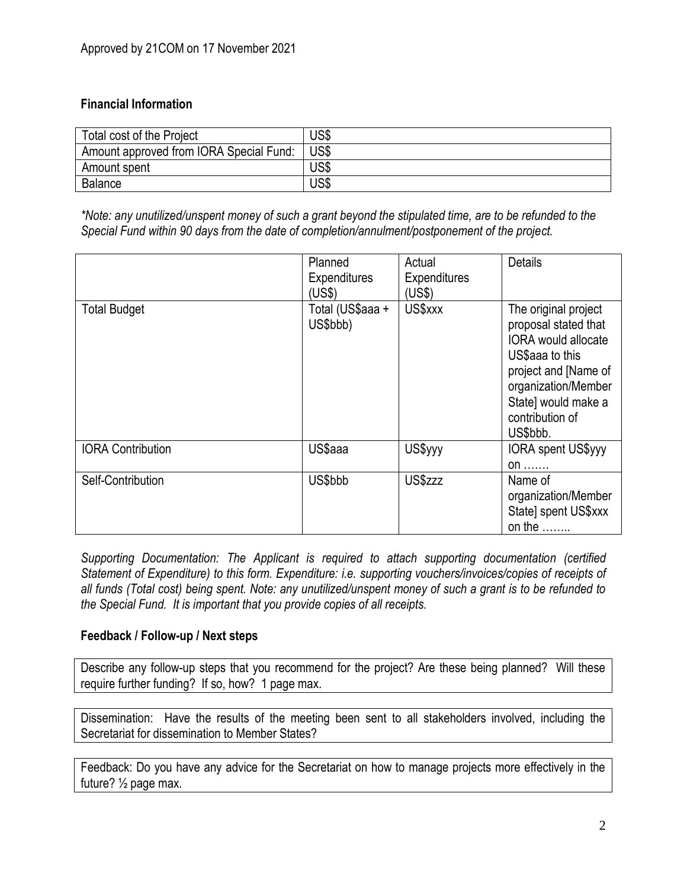### **Financial Information**

| Total cost of the Project               | US\$        |
|-----------------------------------------|-------------|
| Amount approved from IORA Special Fund: | US\$        |
| Amount spent                            | <b>JS\$</b> |
| <b>Balance</b>                          | US\$        |

*\*Note: any unutilized/unspent money of such a grant beyond the stipulated time, are to be refunded to the Special Fund within 90 days from the date of completion/annulment/postponement of the project.*

|                          | Planned<br><b>Expenditures</b><br>(US\$) | Actual<br>Expenditures<br>(US\$) | <b>Details</b>                                                                                                                                                                                     |
|--------------------------|------------------------------------------|----------------------------------|----------------------------------------------------------------------------------------------------------------------------------------------------------------------------------------------------|
| <b>Total Budget</b>      | Total (US\$aaa +<br>US\$bbb)             | US\$xxx                          | The original project<br>proposal stated that<br><b>IORA</b> would allocate<br>US\$aaa to this<br>project and [Name of<br>organization/Member<br>State] would make a<br>contribution of<br>US\$bbb. |
| <b>IORA Contribution</b> | US\$aaa                                  | US\$yyy                          | <b>IORA spent US\$yyy</b><br>$on$                                                                                                                                                                  |
| Self-Contribution        | US\$bbb                                  | US\$zzz                          | Name of<br>organization/Member<br>State] spent US\$xxx<br>on the                                                                                                                                   |

*Supporting Documentation: The Applicant is required to attach supporting documentation (certified Statement of Expenditure) to this form. Expenditure: i.e. supporting vouchers/invoices/copies of receipts of all funds (Total cost) being spent. Note: any unutilized/unspent money of such a grant is to be refunded to the Special Fund. It is important that you provide copies of all receipts.* 

#### **Feedback / Follow-up / Next steps**

Describe any follow-up steps that you recommend for the project? Are these being planned? Will these require further funding? If so, how? 1 page max.

Dissemination: Have the results of the meeting been sent to all stakeholders involved, including the Secretariat for dissemination to Member States?

Feedback: Do you have any advice for the Secretariat on how to manage projects more effectively in the future? ½ page max.